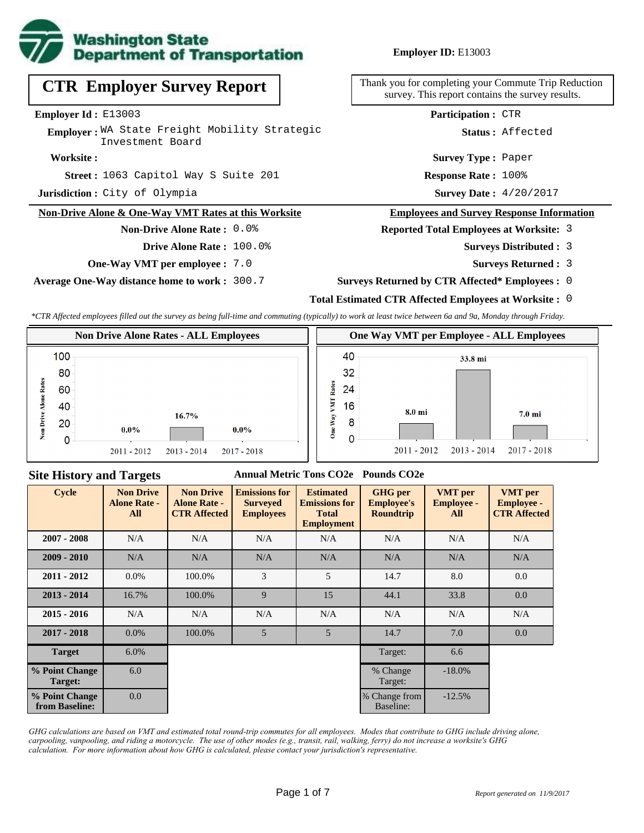

# **CTR Employer Survey Report**

**Employer Id :** E13003

Employer: WA State Freight Mobility Strategic Investment Board

#### **Worksite :**

1063 Capitol Way S Suite 201 **Response Rate : Street :**

**Jurisdiction :** City of Olympia

#### **Non-Drive Alone & One-Way VMT Rates at this Worksite**

## **Non-Drive Alone Rate :** 0.0%

**Drive Alone Rate :** 100.0%

**One-Way VMT per employee :** 7.0

**Average One-Way distance home to work :** 300.7

**Employer ID:** E13003

Thank you for completing your Commute Trip Reduction survey. This report contains the survey results.

**Participation :** CTR

**Status :** Affected

**Survey Type :** Paper

Response Rate: 100%

Survey Date:  $4/20/2017$ 

#### **Employees and Survey Response Information**

#### **Reported Total Employees at Worksite:** 3

- 3 **Surveys Distributed :**
	- **Surveys Returned :** 3
- **Surveys Returned by CTR Affected\* Employees :** 0

## **Total Estimated CTR Affected Employees at Worksite :** 0

*\*CTR Affected employees filled out the survey as being full-time and commuting (typically) to work at least twice between 6a and 9a, Monday through Friday.*



#### **Site History and Targets**

### **Annual Metric Tons CO2e Pounds CO2e**

| <b>Cycle</b>                     | <b>Non Drive</b><br><b>Alone Rate -</b><br>All | <b>Non Drive</b><br><b>Alone Rate -</b><br><b>CTR Affected</b> | <b>Emissions for</b><br><b>Surveyed</b><br><b>Employees</b> | <b>Estimated</b><br><b>Emissions for</b><br><b>Total</b><br><b>Employment</b> | <b>GHG</b> per<br><b>Employee's</b><br><b>Roundtrip</b> | <b>VMT</b> per<br><b>Employee -</b><br>All | <b>VMT</b> per<br><b>Employee -</b><br><b>CTR Affected</b> |
|----------------------------------|------------------------------------------------|----------------------------------------------------------------|-------------------------------------------------------------|-------------------------------------------------------------------------------|---------------------------------------------------------|--------------------------------------------|------------------------------------------------------------|
| $2007 - 2008$                    | N/A                                            | N/A                                                            | N/A                                                         | N/A                                                                           | N/A                                                     | N/A                                        | N/A                                                        |
| $2009 - 2010$                    | N/A                                            | N/A                                                            | N/A                                                         | N/A                                                                           | N/A                                                     | N/A                                        | N/A                                                        |
| $2011 - 2012$                    | $0.0\%$                                        | 100.0%                                                         | 3                                                           | 5                                                                             | 14.7                                                    | 8.0                                        | 0.0                                                        |
| $2013 - 2014$                    | 16.7%                                          | 100.0%                                                         | 9                                                           | 15                                                                            | 44.1                                                    | 33.8                                       | 0.0                                                        |
| $2015 - 2016$                    | N/A                                            | N/A                                                            | N/A                                                         | N/A                                                                           | N/A                                                     | N/A                                        | N/A                                                        |
| $2017 - 2018$                    | $0.0\%$                                        | 100.0%                                                         | 5                                                           | 5                                                                             | 14.7                                                    | 7.0                                        | 0.0                                                        |
| <b>Target</b>                    | $6.0\%$                                        |                                                                |                                                             |                                                                               | Target:                                                 | 6.6                                        |                                                            |
| % Point Change<br>Target:        | 6.0                                            |                                                                |                                                             |                                                                               | % Change<br>Target:                                     | $-18.0\%$                                  |                                                            |
| % Point Change<br>from Baseline: | 0.0                                            |                                                                |                                                             |                                                                               | % Change from<br>Baseline:                              | $-12.5%$                                   |                                                            |

*GHG calculations are based on VMT and estimated total round-trip commutes for all employees. Modes that contribute to GHG include driving alone, carpooling, vanpooling, and riding a motorcycle. The use of other modes (e.g., transit, rail, walking, ferry) do not increase a worksite's GHG calculation. For more information about how GHG is calculated, please contact your jurisdiction's representative.*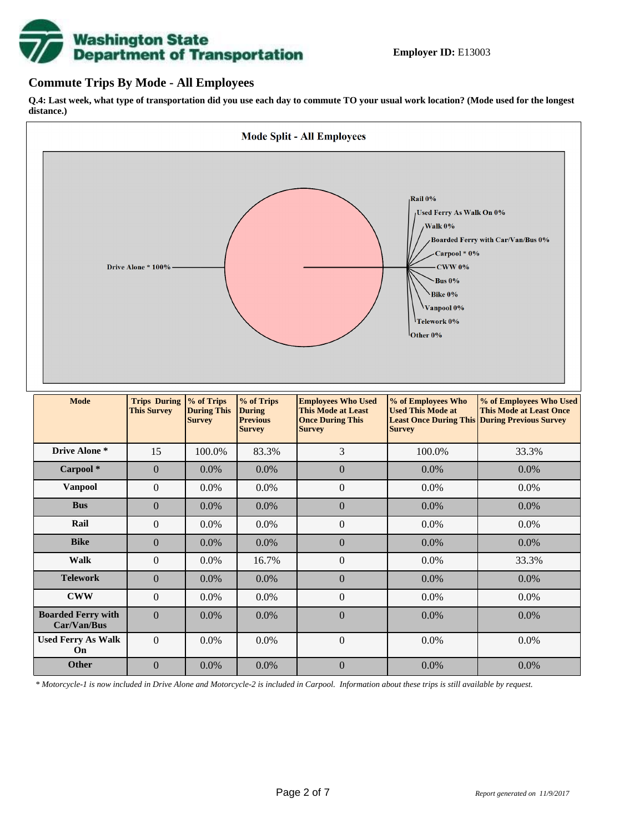

## **Commute Trips By Mode - All Employees**

**Q.4: Last week, what type of transportation did you use each day to commute TO your usual work location? (Mode used for the longest distance.)**



*\* Motorcycle-1 is now included in Drive Alone and Motorcycle-2 is included in Carpool. Information about these trips is still available by request.*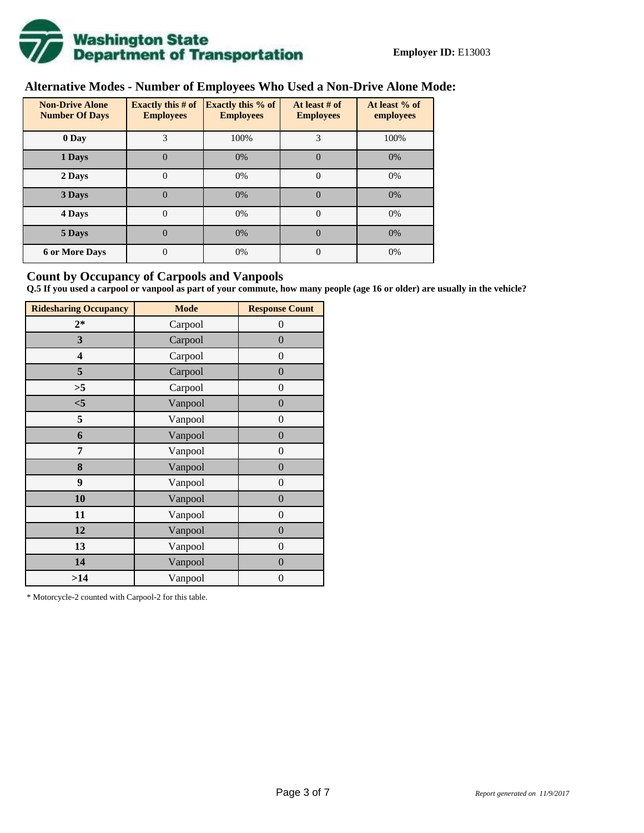

## **Alternative Modes - Number of Employees Who Used a Non-Drive Alone Mode:**

| <b>Non-Drive Alone</b><br><b>Number Of Days</b> | <b>Exactly this # of</b><br><b>Employees</b> | <b>Exactly this % of</b><br><b>Employees</b> | At least # of<br><b>Employees</b> | At least % of<br>employees |
|-------------------------------------------------|----------------------------------------------|----------------------------------------------|-----------------------------------|----------------------------|
| 0 Day                                           | 3                                            | 100%                                         | 3                                 | 100%                       |
| 1 Days                                          | 0                                            | 0%                                           | $\Omega$                          | 0%                         |
| 2 Days                                          | 0                                            | 0%                                           | 0                                 | 0%                         |
| 3 Days                                          | $\theta$                                     | 0%                                           | $\Omega$                          | 0%                         |
| 4 Days                                          | $\overline{0}$                               | 0%                                           | 0                                 | 0%                         |
| 5 Days                                          | $\theta$                                     | 0%                                           | $\theta$                          | 0%                         |
| <b>6 or More Days</b>                           | 0                                            | 0%                                           | $\overline{0}$                    | 0%                         |

## **Count by Occupancy of Carpools and Vanpools**

**Q.5 If you used a carpool or vanpool as part of your commute, how many people (age 16 or older) are usually in the vehicle?**

| <b>Ridesharing Occupancy</b> | <b>Mode</b> | <b>Response Count</b> |
|------------------------------|-------------|-----------------------|
| $2*$                         | Carpool     | $\theta$              |
| 3                            | Carpool     | $\boldsymbol{0}$      |
| 4                            | Carpool     | $\overline{0}$        |
| 5                            | Carpool     | $\overline{0}$        |
| >5                           | Carpool     | $\theta$              |
| $<$ 5                        | Vanpool     | $\overline{0}$        |
| 5                            | Vanpool     | $\boldsymbol{0}$      |
| 6                            | Vanpool     | $\boldsymbol{0}$      |
| 7                            | Vanpool     | $\boldsymbol{0}$      |
| 8                            | Vanpool     | $\boldsymbol{0}$      |
| 9                            | Vanpool     | $\overline{0}$        |
| 10                           | Vanpool     | $\overline{0}$        |
| 11                           | Vanpool     | $\overline{0}$        |
| 12                           | Vanpool     | $\boldsymbol{0}$      |
| 13                           | Vanpool     | $\overline{0}$        |
| 14                           | Vanpool     | $\overline{0}$        |
| >14                          | Vanpool     | 0                     |

\* Motorcycle-2 counted with Carpool-2 for this table.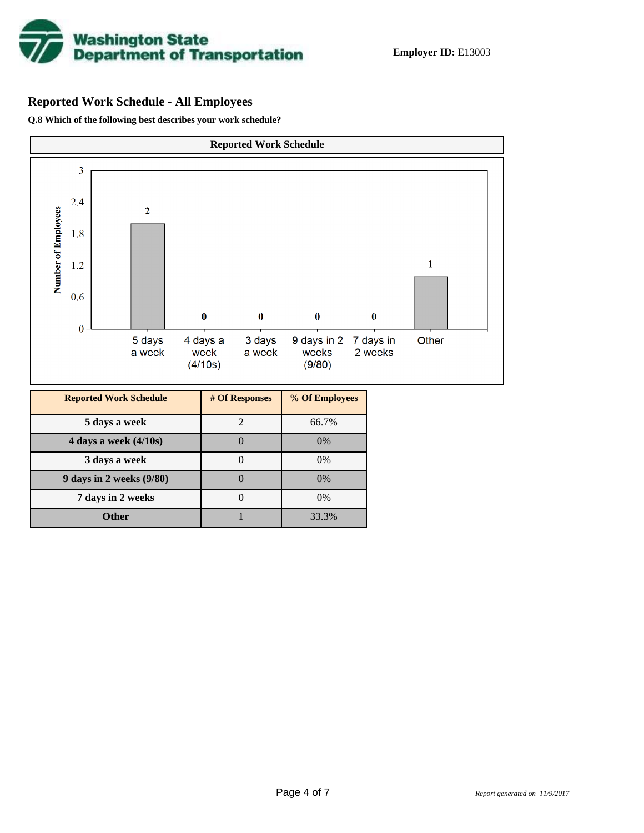

# **Reported Work Schedule - All Employees**

**Q.8 Which of the following best describes your work schedule?**

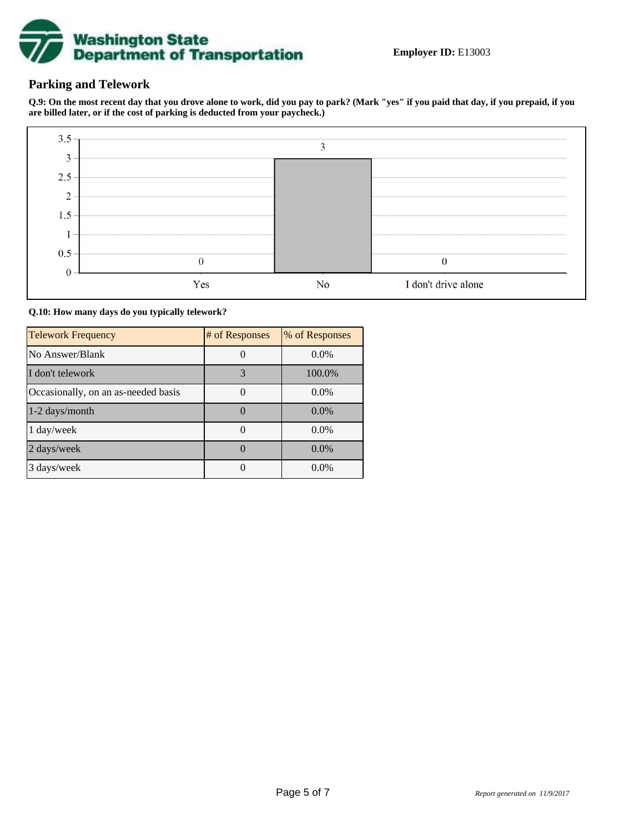

## **Parking and Telework**

**Q.9: On the most recent day that you drove alone to work, did you pay to park? (Mark "yes" if you paid that day, if you prepaid, if you are billed later, or if the cost of parking is deducted from your paycheck.)**



**Q.10: How many days do you typically telework?**

| <b>Telework Frequency</b>           | # of Responses | % of Responses |
|-------------------------------------|----------------|----------------|
| No Answer/Blank                     |                | $0.0\%$        |
| I don't telework                    | 3              | 100.0%         |
| Occasionally, on an as-needed basis |                | $0.0\%$        |
| 1-2 days/month                      |                | $0.0\%$        |
| 1 day/week                          |                | $0.0\%$        |
| 2 days/week                         |                | 0.0%           |
| 3 days/week                         |                | $0.0\%$        |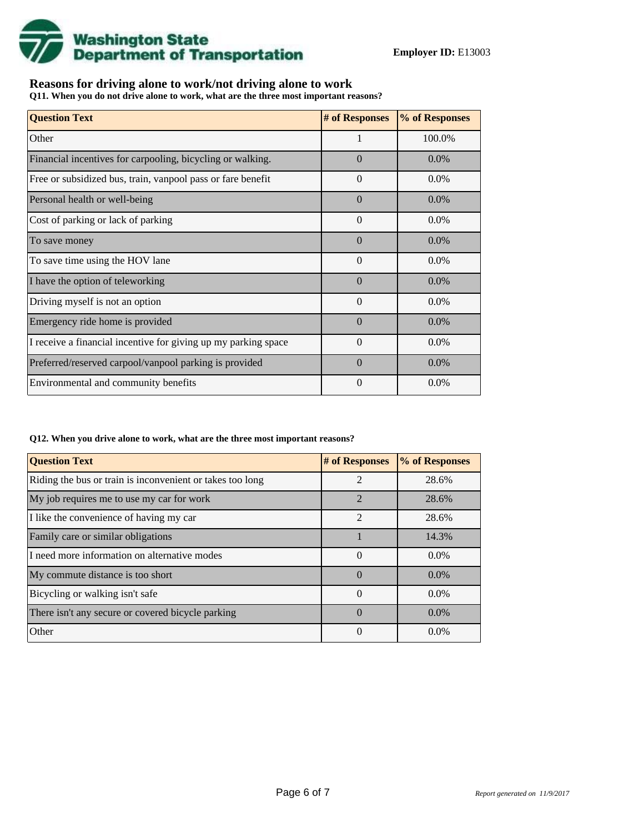

## **Reasons for driving alone to work/not driving alone to work**

**Q11. When you do not drive alone to work, what are the three most important reasons?**

| <b>Question Text</b>                                           | # of Responses | % of Responses |
|----------------------------------------------------------------|----------------|----------------|
| Other                                                          | 1              | 100.0%         |
| Financial incentives for carpooling, bicycling or walking.     | $\Omega$       | $0.0\%$        |
| Free or subsidized bus, train, vanpool pass or fare benefit    | $\Omega$       | $0.0\%$        |
| Personal health or well-being                                  | $\Omega$       | 0.0%           |
| Cost of parking or lack of parking                             | $\Omega$       | $0.0\%$        |
| To save money                                                  | $\Omega$       | $0.0\%$        |
| To save time using the HOV lane                                | $\Omega$       | $0.0\%$        |
| I have the option of teleworking                               | $\Omega$       | $0.0\%$        |
| Driving myself is not an option                                | $\theta$       | $0.0\%$        |
| Emergency ride home is provided                                | $\Omega$       | $0.0\%$        |
| I receive a financial incentive for giving up my parking space | $\Omega$       | 0.0%           |
| Preferred/reserved carpool/vanpool parking is provided         | $\Omega$       | $0.0\%$        |
| Environmental and community benefits                           | $\Omega$       | $0.0\%$        |

#### **Q12. When you drive alone to work, what are the three most important reasons?**

| <b>Question Text</b>                                      | # of Responses | % of Responses |
|-----------------------------------------------------------|----------------|----------------|
| Riding the bus or train is inconvenient or takes too long | $\mathfrak{D}$ | 28.6%          |
| My job requires me to use my car for work                 | $\mathfrak{D}$ | 28.6%          |
| I like the convenience of having my car                   | $\mathfrak{D}$ | 28.6%          |
| Family care or similar obligations                        |                | 14.3%          |
| I need more information on alternative modes              | $\Omega$       | $0.0\%$        |
| My commute distance is too short                          | $\Omega$       | $0.0\%$        |
| Bicycling or walking isn't safe                           | $\theta$       | $0.0\%$        |
| There isn't any secure or covered bicycle parking         | $\Omega$       | $0.0\%$        |
| Other                                                     | $\theta$       | $0.0\%$        |